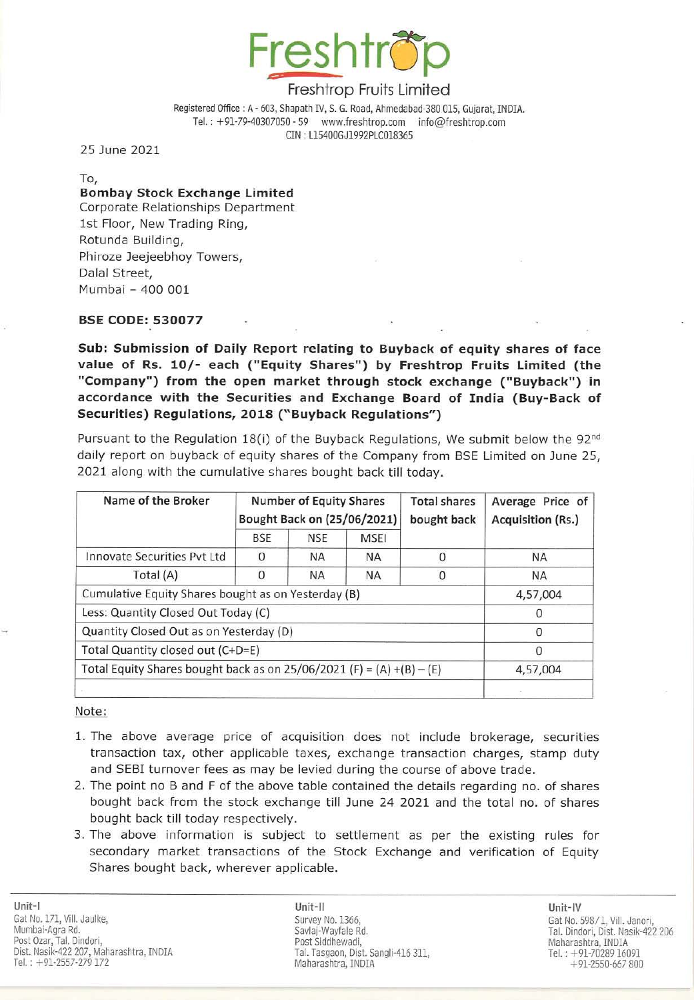

# Freshtrop Fruits Limited

Registered Office: A - 603, Shapath IV, S. G. Road, Ahmedabad-38D 015, Gujarat, INDIA. Tel.: +91-79-40307050 - 59 www.freshtrop.com info@freshtrop.com eIN : L15400GJ1992PLCQ18365

25 June 2021

To,

# Bombay Stock Exchange limited

Corporate Relationships Department 1st Floor, New Trading Ring, Rotunda Building, Phiroze Jeejeebhoy Towers, Dalal Street, Mumbai - 400 001

## BSE CODE: 530077

Sub: Submission of Daily Report relating to Buyback of equity shares of face value of Rs. 10/- each ("Equity Shares") by Freshtrop Fruits Limited (the "Company") from the open market through stock exchange ("Buyback") in accordance with the Securities and Exchange Board of India (Buy-Back of Securities) Regulations, 2018 (" Buyback Regulations")

Pursuant to the Regulation 18(i) of the Buyback Regulations, We submit below the  $92^{nd}$ daily report on buyback of equity shares of the Company from SSE Limited on June 25, 2021 along with the cumulative shares bought back till today.

| Name of the Broker                                                    | <b>Number of Equity Shares</b><br>Bought Back on (25/06/2021) |            |             | <b>Total shares</b><br>bought back | Average Price of<br><b>Acquisition (Rs.)</b> |
|-----------------------------------------------------------------------|---------------------------------------------------------------|------------|-------------|------------------------------------|----------------------------------------------|
|                                                                       | <b>BSE</b>                                                    | <b>NSE</b> | <b>MSEI</b> |                                    |                                              |
| Innovate Securities Pvt Ltd                                           | n                                                             | ΝA         | <b>NA</b>   |                                    | ΝA                                           |
| Total (A)                                                             | 0                                                             | <b>NA</b>  | <b>NA</b>   |                                    | ΝA                                           |
| Cumulative Equity Shares bought as on Yesterday (B)                   |                                                               |            |             |                                    | 4,57,004                                     |
| Less: Quantity Closed Out Today (C)                                   |                                                               |            |             |                                    | $\Omega$                                     |
| Quantity Closed Out as on Yesterday (D)                               |                                                               |            |             |                                    | $\Omega$                                     |
| Total Quantity closed out (C+D=E)                                     |                                                               |            |             |                                    |                                              |
| Total Equity Shares bought back as on 25/06/2021 (F) = (A) +(B) - (E) |                                                               |            |             |                                    | 4,57,004                                     |
|                                                                       |                                                               |            |             |                                    |                                              |

Note:

- 1. The above average price of acquisition does not include brokerage, securities transaction tax, other applicable taxes, exchange transaction charges, stamp duty and SESI turnover fees as may be levied during the course of above trade.
- 2. The point no B and F of the above table contained the details regarding no. of shares bought back from the stock exchange till June 24 2021 and the total no. of shares bought back till today respectively.
- 3. The above information is subject to settlement as per the existing rules for secondary market transactions of the Stock Exchange and verification of Equity Shares bought back, wherever applicable.

Unit-II Unit-IV Savlaj-Wayfale Rd. Tal. Tasgaon, Dist. Sangli-416 311, Maharashtra, INDIA

Gat No. *598/1,* ViiI. Janori, Tal. Dindori, Dist. Nasik-422 206 Tel.: +91-70289 16091  $+91-2550-667800$